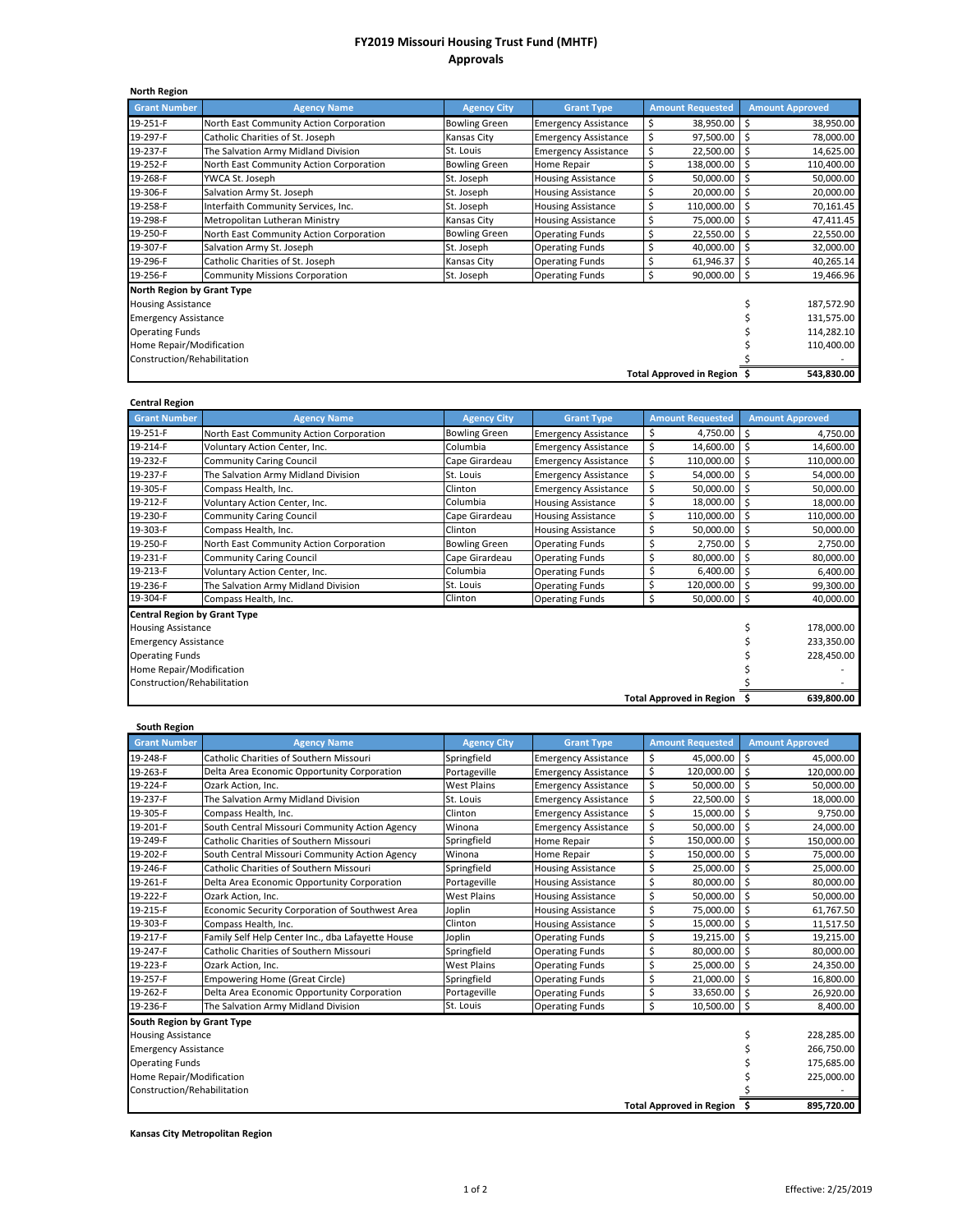## **FY2019 Missouri Housing Trust Fund (MHTF) Approvals**

| <b>North Region</b>         |                                         |                      |                             |                         |                        |  |
|-----------------------------|-----------------------------------------|----------------------|-----------------------------|-------------------------|------------------------|--|
| <b>Grant Number</b>         | <b>Agency Name</b>                      | <b>Agency City</b>   | <b>Grant Type</b>           | <b>Amount Requested</b> | <b>Amount Approved</b> |  |
| 19-251-F                    | North East Community Action Corporation | <b>Bowling Green</b> | <b>Emergency Assistance</b> | \$<br>38,950.00         | \$<br>38,950.00        |  |
| 19-297-F                    | Catholic Charities of St. Joseph        | Kansas City          | <b>Emergency Assistance</b> | \$<br>97,500.00         | 78,000.00<br>\$        |  |
| 19-237-F                    | The Salvation Army Midland Division     | St. Louis            | <b>Emergency Assistance</b> | \$<br>22,500.00         | \$<br>14,625.00        |  |
| 19-252-F                    | North East Community Action Corporation | <b>Bowling Green</b> | Home Repair                 | Ś<br>138,000.00         | 110,400.00<br>Ś        |  |
| 19-268-F                    | YWCA St. Joseph                         | St. Joseph           | <b>Housing Assistance</b>   | \$<br>50,000.00         | 50,000.00<br>\$        |  |
| 19-306-F                    | Salvation Army St. Joseph               | St. Joseph           | <b>Housing Assistance</b>   | \$<br>20,000.00         | \$<br>20,000.00        |  |
| 19-258-F                    | Interfaith Community Services, Inc.     | St. Joseph           | <b>Housing Assistance</b>   | \$<br>110,000.00        | Ś<br>70,161.45         |  |
| 19-298-F                    | Metropolitan Lutheran Ministry          | Kansas City          | <b>Housing Assistance</b>   | \$<br>75,000.00         | \$<br>47,411.45        |  |
| 19-250-F                    | North East Community Action Corporation | <b>Bowling Green</b> | <b>Operating Funds</b>      | \$<br>22,550.00         | \$<br>22,550.00        |  |
| 19-307-F                    | Salvation Army St. Joseph               | St. Joseph           | <b>Operating Funds</b>      | Ś<br>40,000.00          | \$<br>32,000.00        |  |
| 19-296-F                    | Catholic Charities of St. Joseph        | Kansas City          | <b>Operating Funds</b>      | 61,946.37               | Ś<br>40,265.14         |  |
| 19-256-F                    | <b>Community Missions Corporation</b>   | St. Joseph           | <b>Operating Funds</b>      | \$<br>$90,000.00$ \$    | 19,466.96              |  |
| North Region by Grant Type  |                                         |                      |                             |                         |                        |  |
|                             | <b>Housing Assistance</b>               |                      |                             |                         |                        |  |
| <b>Emergency Assistance</b> | 131,575.00                              |                      |                             |                         |                        |  |
| <b>Operating Funds</b>      | 114,282.10                              |                      |                             |                         |                        |  |
| Home Repair/Modification    | 110,400.00                              |                      |                             |                         |                        |  |
| Construction/Rehabilitation |                                         |                      |                             |                         |                        |  |
| Total Approved in Region \$ |                                         |                      |                             |                         | 543,830.00             |  |

## **Central Region**

| CEINT AT RESIGN<br><b>Grant Number</b> | <b>Agency Name</b>                      | <b>Agency City</b>   | <b>Grant Type</b>           | <b>Amount Requested</b>         | <b>Amount Approved</b> |
|----------------------------------------|-----------------------------------------|----------------------|-----------------------------|---------------------------------|------------------------|
| 19-251-F                               | North East Community Action Corporation | <b>Bowling Green</b> | <b>Emergency Assistance</b> | \$<br>4,750.00                  | Ś<br>4,750.00          |
| 19-214-F                               | Voluntary Action Center, Inc.           | Columbia             | <b>Emergency Assistance</b> | \$<br>14,600.00                 | Ś<br>14,600.00         |
| 19-232-F                               | <b>Community Caring Council</b>         | Cape Girardeau       | <b>Emergency Assistance</b> | \$<br>110,000.00                | Ś<br>110,000.00        |
| 19-237-F                               | The Salvation Army Midland Division     | St. Louis            | <b>Emergency Assistance</b> | 54,000.00                       | 54,000.00<br>Ś         |
| 19-305-F                               | Compass Health, Inc.                    | Clinton              | <b>Emergency Assistance</b> | \$<br>50,000.00                 | 50,000.00<br>S         |
| 19-212-F                               | Voluntary Action Center, Inc.           | Columbia             | <b>Housing Assistance</b>   | 18,000.00                       | 18,000.00              |
| 19-230-F                               | <b>Community Caring Council</b>         | Cape Girardeau       | <b>Housing Assistance</b>   | \$<br>110,000.00                | 110,000.00<br>Ś        |
| 19-303-F                               | Compass Health, Inc.                    | Clinton              | <b>Housing Assistance</b>   | \$<br>50,000.00                 | Ś<br>50,000.00         |
| 19-250-F                               | North East Community Action Corporation | <b>Bowling Green</b> | <b>Operating Funds</b>      | 2,750.00                        | 2,750.00<br>Ś          |
| 19-231-F                               | <b>Community Caring Council</b>         | Cape Girardeau       | <b>Operating Funds</b>      | Ś<br>80,000.00                  | Ś<br>80,000.00         |
| 19-213-F                               | Voluntary Action Center, Inc.           | Columbia             | <b>Operating Funds</b>      | \$<br>6,400.00                  | 6,400.00               |
| 19-236-F                               | The Salvation Army Midland Division     | St. Louis            | <b>Operating Funds</b>      | 120,000.00                      | 99,300.00              |
| 19-304-F                               | Compass Health, Inc.                    | Clinton              | <b>Operating Funds</b>      | $50,000.00$ \$<br>Ś             | 40,000.00              |
| <b>Central Region by Grant Type</b>    |                                         |                      |                             |                                 |                        |
| <b>Housing Assistance</b>              | 178,000.00                              |                      |                             |                                 |                        |
| <b>Emergency Assistance</b>            | 233,350.00                              |                      |                             |                                 |                        |
| <b>Operating Funds</b>                 | 228,450.00                              |                      |                             |                                 |                        |
| Home Repair/Modification               |                                         |                      |                             |                                 |                        |
| Construction/Rehabilitation            |                                         |                      |                             |                                 |                        |
|                                        |                                         |                      |                             | <b>Total Approved in Region</b> | 639,800.00             |

| South Region                    |                                                   |                    |                             |                         |                        |
|---------------------------------|---------------------------------------------------|--------------------|-----------------------------|-------------------------|------------------------|
| <b>Grant Number</b>             | <b>Agency Name</b>                                | <b>Agency City</b> | <b>Grant Type</b>           | <b>Amount Requested</b> | <b>Amount Approved</b> |
| 19-248-F                        | Catholic Charities of Southern Missouri           | Springfield        | <b>Emergency Assistance</b> | \$<br>45,000.00         | \$<br>45,000.00        |
| 19-263-F                        | Delta Area Economic Opportunity Corporation       | Portageville       | <b>Emergency Assistance</b> | \$<br>120,000.00        | \$<br>120,000.00       |
| 19-224-F                        | Ozark Action, Inc.                                | <b>West Plains</b> | <b>Emergency Assistance</b> | \$<br>50,000.00         | Ś<br>50,000.00         |
| 19-237-F                        | The Salvation Army Midland Division               | St. Louis          | <b>Emergency Assistance</b> | \$<br>22,500.00         | \$<br>18,000.00        |
| 19-305-F                        | Compass Health, Inc.                              | Clinton            | <b>Emergency Assistance</b> | \$<br>15,000.00         | \$<br>9,750.00         |
| 19-201-F                        | South Central Missouri Community Action Agency    | Winona             | <b>Emergency Assistance</b> | \$<br>50,000.00         | \$<br>24,000.00        |
| 19-249-F                        | Catholic Charities of Southern Missouri           | Springfield        | Home Repair                 | \$<br>150,000.00        | \$<br>150,000.00       |
| 19-202-F                        | South Central Missouri Community Action Agency    | Winona             | Home Repair                 | Ś<br>150,000.00         | Ś<br>75,000.00         |
| 19-246-F                        | <b>Catholic Charities of Southern Missouri</b>    | Springfield        | <b>Housing Assistance</b>   | \$<br>25,000.00         | Ś<br>25,000.00         |
| 19-261-F                        | Delta Area Economic Opportunity Corporation       | Portageville       | <b>Housing Assistance</b>   | \$<br>80,000.00         | \$<br>80,000.00        |
| 19-222-F                        | Ozark Action, Inc.                                | <b>West Plains</b> | <b>Housing Assistance</b>   | \$<br>50,000.00         | \$<br>50,000.00        |
| 19-215-F                        | Economic Security Corporation of Southwest Area   | Joplin             | <b>Housing Assistance</b>   | \$<br>75,000.00         | Ś<br>61,767.50         |
| 19-303-F                        | Compass Health, Inc.                              | Clinton            | <b>Housing Assistance</b>   | \$<br>15,000.00         | Ś<br>11,517.50         |
| 19-217-F                        | Family Self Help Center Inc., dba Lafayette House | Joplin             | <b>Operating Funds</b>      | \$<br>19,215.00         | \$<br>19,215.00        |
| 19-247-F                        | <b>Catholic Charities of Southern Missouri</b>    | Springfield        | <b>Operating Funds</b>      | \$<br>80,000.00         | \$<br>80,000.00        |
| 19-223-F                        | Ozark Action, Inc.                                | <b>West Plains</b> | <b>Operating Funds</b>      | \$<br>25,000.00         | \$<br>24,350.00        |
| 19-257-F                        | <b>Empowering Home (Great Circle)</b>             | Springfield        | <b>Operating Funds</b>      | \$<br>21,000.00         | \$<br>16,800.00        |
| 19-262-F                        | Delta Area Economic Opportunity Corporation       | Portageville       | <b>Operating Funds</b>      | \$<br>33,650.00         | \$<br>26,920.00        |
| 19-236-F                        | The Salvation Army Midland Division               | St. Louis          | <b>Operating Funds</b>      | \$<br>10,500.00         | \$<br>8,400.00         |
| South Region by Grant Type      |                                                   |                    |                             |                         |                        |
| <b>Housing Assistance</b>       | 228,285.00                                        |                    |                             |                         |                        |
| <b>Emergency Assistance</b>     | 266,750.00                                        |                    |                             |                         |                        |
| <b>Operating Funds</b>          | 175,685.00                                        |                    |                             |                         |                        |
| Home Repair/Modification        | 225,000.00                                        |                    |                             |                         |                        |
| Construction/Rehabilitation     |                                                   |                    |                             |                         |                        |
| <b>Total Approved in Region</b> |                                                   |                    |                             |                         | \$<br>895,720.00       |

**Kansas City Metropolitan Region**